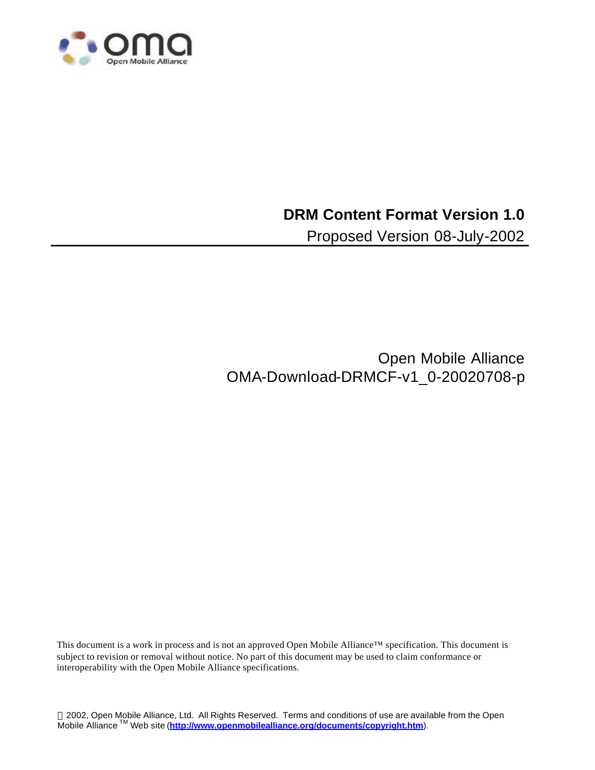

### **DRM Content Format Version 1.0**

Proposed Version 08-July-2002

Open Mobile Alliance OMA-Download-DRMCF-v1\_0-20020708-p

This document is a work in process and is not an approved Open Mobile Alliance™ specification. This document is subject to revision or removal without notice. No part of this document may be used to claim conformance or interoperability with the Open Mobile Alliance specifications.

 2002, Open Mobile Alliance, Ltd. All Rights Reserved. Terms and conditions of use are available from the Open Mobile Alliance TM Web site (**http://www.openmobilealliance.org/documents/copyright.htm**).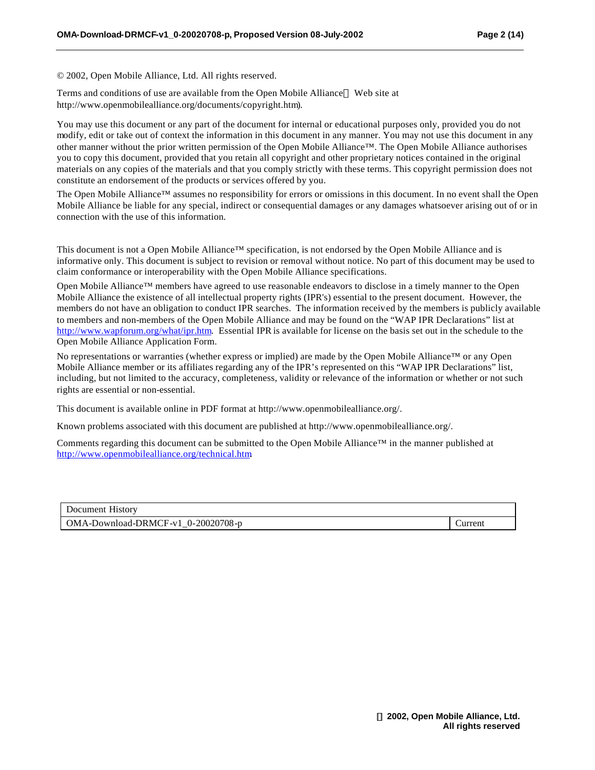© 2002, Open Mobile Alliance, Ltd. All rights reserved.

Terms and conditions of use are available from the Open Mobile Alliance<sup> $TM$ </sup> Web site at http://www.openmobilealliance.org/documents/copyright.htm).

You may use this document or any part of the document for internal or educational purposes only, provided you do not modify, edit or take out of context the information in this document in any manner. You may not use this document in any other manner without the prior written permission of the Open Mobile Alliance™. The Open Mobile Alliance authorises you to copy this document, provided that you retain all copyright and other proprietary notices contained in the original materials on any copies of the materials and that you comply strictly with these terms. This copyright permission does not constitute an endorsement of the products or services offered by you.

The Open Mobile Alliance™ assumes no responsibility for errors or omissions in this document. In no event shall the Open Mobile Alliance be liable for any special, indirect or consequential damages or any damages whatsoever arising out of or in connection with the use of this information*.*

This document is not a Open Mobile Alliance™ specification, is not endorsed by the Open Mobile Alliance and is informative only. This document is subject to revision or removal without notice. No part of this document may be used to claim conformance or interoperability with the Open Mobile Alliance specifications.

Open Mobile Alliance™ members have agreed to use reasonable endeavors to disclose in a timely manner to the Open Mobile Alliance the existence of all intellectual property rights (IPR's) essential to the present document. However, the members do not have an obligation to conduct IPR searches. The information received by the members is publicly available to members and non-members of the Open Mobile Alliance and may be found on the "WAP IPR Declarations" list at http://www.wapforum.org/what/ipr.htm. Essential IPR is available for license on the basis set out in the schedule to the Open Mobile Alliance Application Form.

No representations or warranties (whether express or implied) are made by the Open Mobile Alliance™ or any Open Mobile Alliance member or its affiliates regarding any of the IPR's represented on this "WAP IPR Declarations" list, including, but not limited to the accuracy, completeness, validity or relevance of the information or whether or not such rights are essential or non-essential.

This document is available online in PDF format at http://www.openmobilealliance.org/.

Known problems associated with this document are published at http://www.openmobilealliance.org/.

Comments regarding this document can be submitted to the Open Mobile Alliance™ in the manner published at http://www.openmobilealliance.org/technical.htm.

| Document History                                                 |               |
|------------------------------------------------------------------|---------------|
| $OMA-Download-DRMCF-v1$ 0-20020708-p<br>$\overline{\phantom{a}}$ | <b>urrent</b> |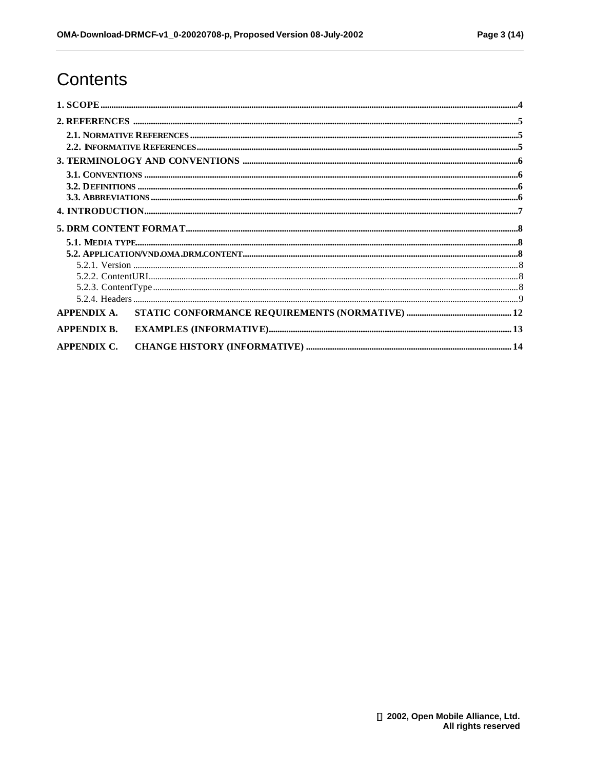# Contents

| <b>APPENDIX B.</b> |  |
|--------------------|--|
| APPENDIX C.        |  |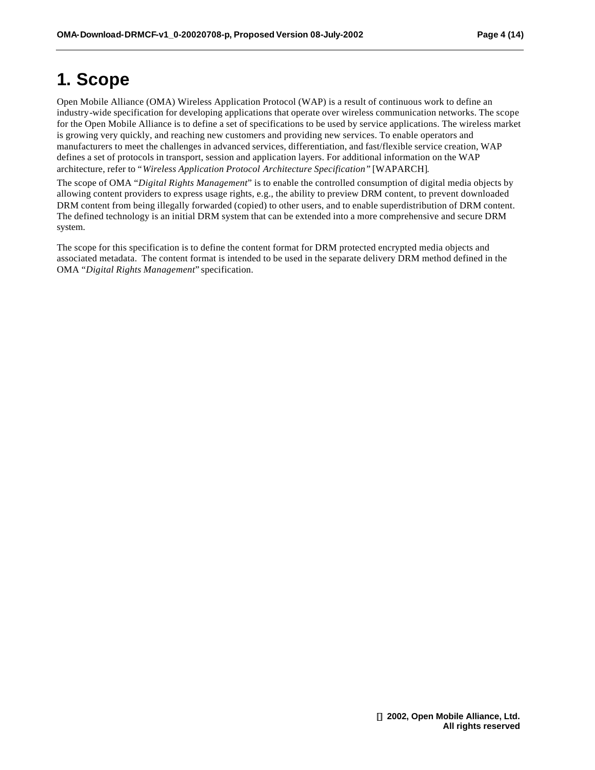# **1. Scope**

Open Mobile Alliance (OMA) Wireless Application Protocol (WAP) is a result of continuous work to define an industry-wide specification for developing applications that operate over wireless communication networks. The scope for the Open Mobile Alliance is to define a set of specifications to be used by service applications. The wireless market is growing very quickly, and reaching new customers and providing new services. To enable operators and manufacturers to meet the challenges in advanced services, differentiation, and fast/flexible service creation, WAP defines a set of protocols in transport, session and application layers. For additional information on the WAP architecture, refer to "*Wireless Application Protocol Architecture Specification"* [WAPARCH].

The scope of OMA "*Digital Rights Management*" is to enable the controlled consumption of digital media objects by allowing content providers to express usage rights, e.g., the ability to preview DRM content, to prevent downloaded DRM content from being illegally forwarded (copied) to other users, and to enable superdistribution of DRM content. The defined technology is an initial DRM system that can be extended into a more comprehensive and secure DRM system.

The scope for this specification is to define the content format for DRM protected encrypted media objects and associated metadata. The content format is intended to be used in the separate delivery DRM method defined in the OMA "*Digital Rights Management*" specification.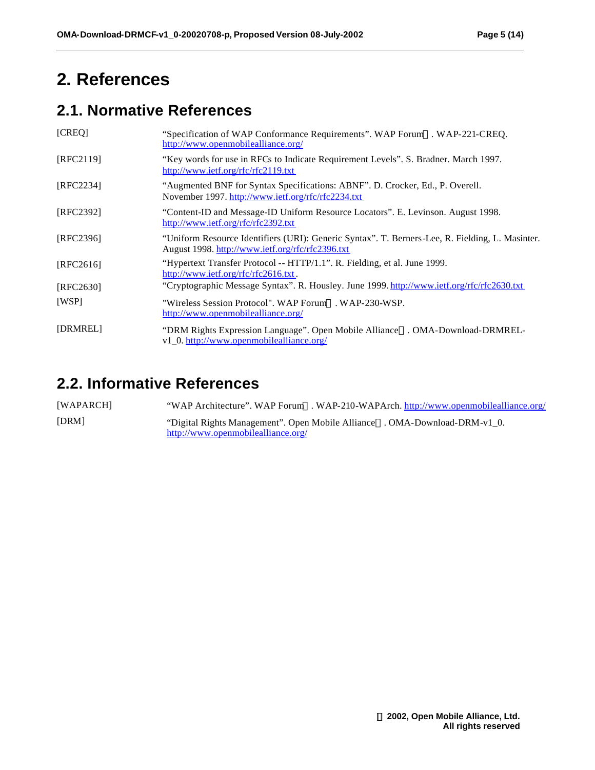# **2. References**

## **2.1. Normative References**

| [CREQ]    | "Specification of WAP Conformance Requirements". WAP Forum <sup>TM</sup> . WAP-221-CREQ.<br>http://www.openmobilealliance.org/                      |
|-----------|-----------------------------------------------------------------------------------------------------------------------------------------------------|
| [RFC2119] | "Key words for use in RFCs to Indicate Requirement Levels". S. Bradner. March 1997.<br>http://www.ietf.org/rfc/rfc2119.txt                          |
| [RFC2234] | "Augmented BNF for Syntax Specifications: ABNF". D. Crocker, Ed., P. Overell.<br>November 1997. http://www.ietf.org/rfc/rfc2234.txt                 |
| [RFC2392] | "Content-ID and Message-ID Uniform Resource Locators". E. Levinson. August 1998.<br>http://www.ietf.org/rfc/rfc2392.txt                             |
| [RFC2396] | "Uniform Resource Identifiers (URI): Generic Syntax". T. Berners-Lee, R. Fielding, L. Masinter.<br>August 1998. http://www.ietf.org/rfc/rfc2396.txt |
| [RFC2616] | "Hypertext Transfer Protocol -- HTTP/1.1". R. Fielding, et al. June 1999.<br>http://www.ietf.org/rfc/rfc2616.txt.                                   |
| [REC2630] | "Cryptographic Message Syntax". R. Housley. June 1999. http://www.ietf.org/rfc/rfc2630.txt                                                          |
| [WSP]     | "Wireless Session Protocol". WAP Forum <sup><math>M</math></sup> , WAP-230-WSP.<br>http://www.openmobilealliance.org/                               |
| [DRMREL]  | "DRM Rights Expression Language". Open Mobile Alliance <sup>TM</sup> . OMA-Download-DRMREL-<br>v1_0. http://www.openmobilealliance.org/             |

### **2.2. Informative References**

[WAPARCH] "WAP Architecture". WAP Forum<sup>TM</sup>. WAP-210-WAPArch. http://www.openmobilealliance.org/ [DRM] "Digital Rights Management". Open Mobile Alliance<sup>TM</sup>. OMA-Download-DRM-v1\_0. http://www.openmobilealliance.org/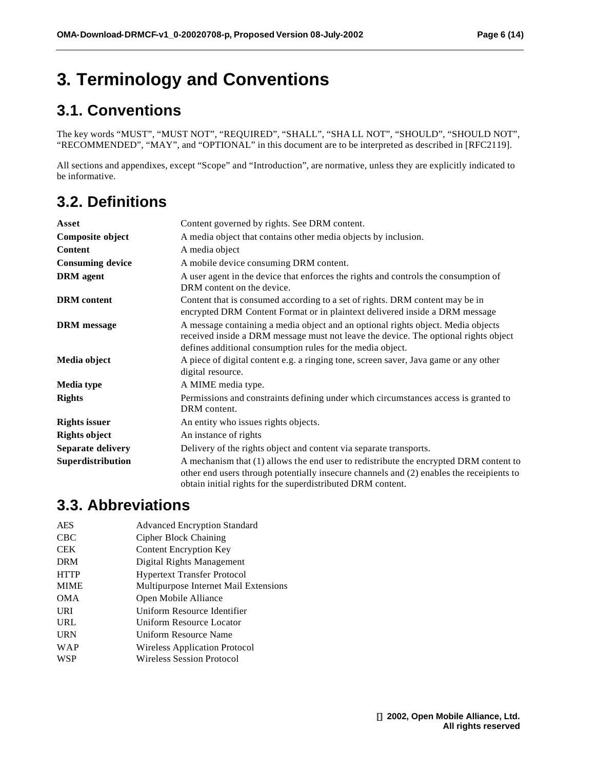# **3. Terminology and Conventions**

## **3.1. Conventions**

The key words "MUST", "MUST NOT", "REQUIRED", "SHALL", "SHA LL NOT", "SHOULD", "SHOULD NOT", "RECOMMENDED", "MAY", and "OPTIONAL" in this document are to be interpreted as described in [RFC2119].

All sections and appendixes, except "Scope" and "Introduction", are normative, unless they are explicitly indicated to be informative.

## **3.2. Definitions**

| Asset                   | Content governed by rights. See DRM content.                                                                                                                                                                                                     |  |  |
|-------------------------|--------------------------------------------------------------------------------------------------------------------------------------------------------------------------------------------------------------------------------------------------|--|--|
| Composite object        | A media object that contains other media objects by inclusion.                                                                                                                                                                                   |  |  |
| <b>Content</b>          | A media object                                                                                                                                                                                                                                   |  |  |
| <b>Consuming device</b> | A mobile device consuming DRM content.                                                                                                                                                                                                           |  |  |
| <b>DRM</b> agent        | A user agent in the device that enforces the rights and controls the consumption of<br>DRM content on the device.                                                                                                                                |  |  |
| <b>DRM</b> content      | Content that is consumed according to a set of rights. DRM content may be in<br>encrypted DRM Content Format or in plaintext delivered inside a DRM message                                                                                      |  |  |
| <b>DRM</b> message      | A message containing a media object and an optional rights object. Media objects<br>received inside a DRM message must not leave the device. The optional rights object<br>defines additional consumption rules for the media object.            |  |  |
| Media object            | A piece of digital content e.g. a ringing tone, screen saver, Java game or any other<br>digital resource.                                                                                                                                        |  |  |
| Media type              | A MIME media type.                                                                                                                                                                                                                               |  |  |
| <b>Rights</b>           | Permissions and constraints defining under which circumstances access is granted to<br>DRM content.                                                                                                                                              |  |  |
| <b>Rights issuer</b>    | An entity who issues rights objects.                                                                                                                                                                                                             |  |  |
| <b>Rights object</b>    | An instance of rights                                                                                                                                                                                                                            |  |  |
| Separate delivery       | Delivery of the rights object and content via separate transports.                                                                                                                                                                               |  |  |
| Superdistribution       | A mechanism that (1) allows the end user to redistribute the encrypted DRM content to<br>other end users through potentially insecure channels and (2) enables the receipients to<br>obtain initial rights for the superdistributed DRM content. |  |  |

### **3.3. Abbreviations**

| <b>AES</b>  | <b>Advanced Encryption Standard</b>   |  |  |
|-------------|---------------------------------------|--|--|
| <b>CBC</b>  | Cipher Block Chaining                 |  |  |
| <b>CEK</b>  | <b>Content Encryption Key</b>         |  |  |
| <b>DRM</b>  | Digital Rights Management             |  |  |
| <b>HTTP</b> | <b>Hypertext Transfer Protocol</b>    |  |  |
| <b>MIME</b> | Multipurpose Internet Mail Extensions |  |  |
| <b>OMA</b>  | Open Mobile Alliance                  |  |  |
| URI         | Uniform Resource Identifier           |  |  |
| <b>URL</b>  | Uniform Resource Locator              |  |  |
| <b>URN</b>  | Uniform Resource Name                 |  |  |
| WAP         | Wireless Application Protocol         |  |  |
| <b>WSP</b>  | <b>Wireless Session Protocol</b>      |  |  |
|             |                                       |  |  |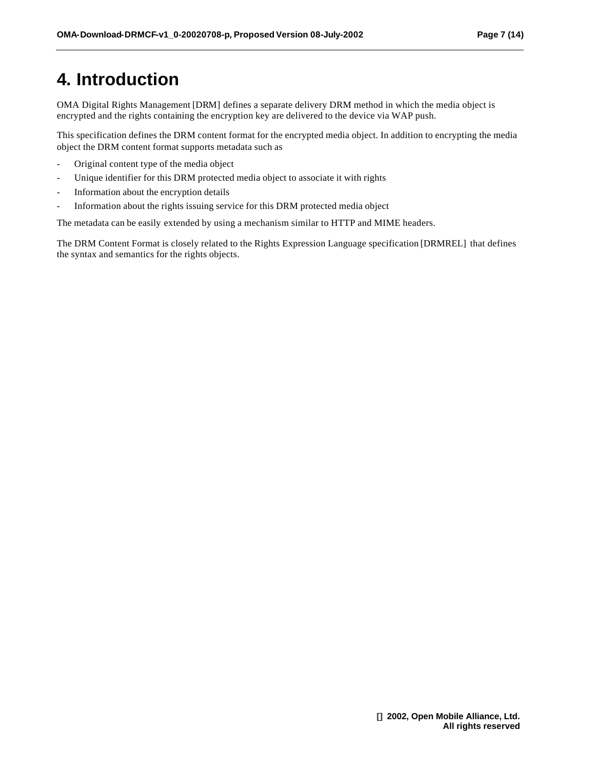# **4. Introduction**

OMA Digital Rights Management [DRM] defines a separate delivery DRM method in which the media object is encrypted and the rights containing the encryption key are delivered to the device via WAP push.

This specification defines the DRM content format for the encrypted media object. In addition to encrypting the media object the DRM content format supports metadata such as

- Original content type of the media object
- Unique identifier for this DRM protected media object to associate it with rights
- Information about the encryption details
- Information about the rights issuing service for this DRM protected media object

The metadata can be easily extended by using a mechanism similar to HTTP and MIME headers.

The DRM Content Format is closely related to the Rights Expression Language specification [DRMREL] that defines the syntax and semantics for the rights objects.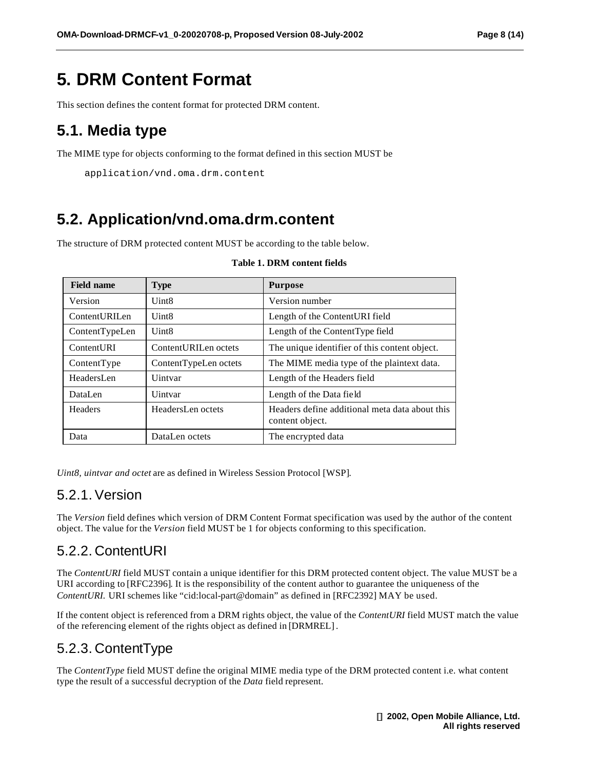# **5. DRM Content Format**

This section defines the content format for protected DRM content.

### **5.1. Media type**

The MIME type for objects conforming to the format defined in this section MUST be

```
application/vnd.oma.drm.content
```
### **5.2. Application/vnd.oma.drm.content**

The structure of DRM protected content MUST be according to the table below.

| <b>Field name</b> | <b>Type</b>           | <b>Purpose</b>                                                    |
|-------------------|-----------------------|-------------------------------------------------------------------|
| Version           | Uint8                 | Version number                                                    |
| ContentURILen     | Uint8                 | Length of the Content URI field                                   |
| ContentTypeLen    | Uint <sub>8</sub>     | Length of the Content Type field                                  |
| ContentURI        | ContentURILen octets  | The unique identifier of this content object.                     |
| ContentType       | ContentTypeLen octets | The MIME media type of the plaintext data.                        |
| HeadersLen        | Uintvar               | Length of the Headers field                                       |
| DataLen           | Uintvar               | Length of the Data field                                          |
| Headers           | HeadersLen octets     | Headers define additional meta data about this<br>content object. |
| Data              | DataLen octets        | The encrypted data                                                |

#### **Table 1. DRM content fields**

*Uint8, uintvar and octet* are as defined in Wireless Session Protocol [WSP].

### 5.2.1. Version

The *Version* field defines which version of DRM Content Format specification was used by the author of the content object. The value for the *Version* field MUST be 1 for objects conforming to this specification.

### 5.2.2. ContentURI

The *ContentURI* field MUST contain a unique identifier for this DRM protected content object. The value MUST be a URI according to [RFC2396]. It is the responsibility of the content author to guarantee the uniqueness of the *ContentURI.* URI schemes like "cid:local-part@domain" as defined in [RFC2392] MAY be used.

If the content object is referenced from a DRM rights object, the value of the *ContentURI* field MUST match the value of the referencing element of the rights object as defined in [DRMREL].

### 5.2.3. ContentType

The *ContentType* field MUST define the original MIME media type of the DRM protected content i.e. what content type the result of a successful decryption of the *Data* field represent.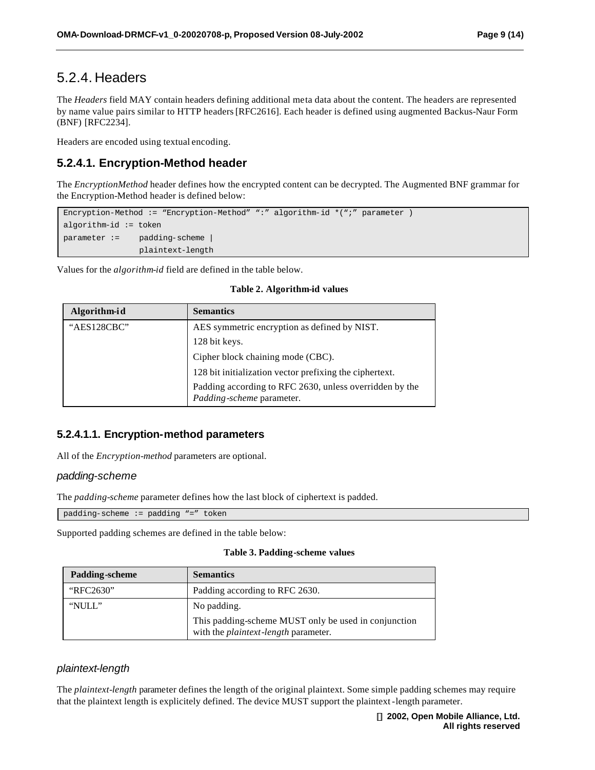### 5.2.4. Headers

The *Headers* field MAY contain headers defining additional meta data about the content. The headers are represented by name value pairs similar to HTTP headers [RFC2616]. Each header is defined using augmented Backus-Naur Form (BNF) [RFC2234].

Headers are encoded using textual encoding.

#### **5.2.4.1. Encryption-Method header**

The *EncryptionMethod* header defines how the encrypted content can be decrypted. The Augmented BNF grammar for the Encryption-Method header is defined below:

Encryption-Method := "Encryption-Method" ":" algorithm-id \*(";" parameter ) algorithm-id := token parameter := padding-scheme | plaintext-length

Values for the *algorithm-id* field are defined in the table below.

| Algorithm-id | <b>Semantics</b>                                                                     |  |  |
|--------------|--------------------------------------------------------------------------------------|--|--|
| "AES128CBC"  | AES symmetric encryption as defined by NIST.                                         |  |  |
|              | 128 bit keys.                                                                        |  |  |
|              | Cipher block chaining mode (CBC).                                                    |  |  |
|              | 128 bit initialization vector prefixing the ciphertext.                              |  |  |
|              | Padding according to RFC 2630, unless overridden by the<br>Padding-scheme parameter. |  |  |

**Table 2. Algorithm-id values**

#### **5.2.4.1.1. Encryption-method parameters**

All of the *Encryption-method* parameters are optional.

#### *padding-scheme*

The *padding-scheme* parameter defines how the last block of ciphertext is padded.

padding-scheme := padding "=" token

Supported padding schemes are defined in the table below:

#### **Table 3. Padding-scheme values**

| <b>Padding-scheme</b> | <b>Semantics</b>                                                                                    |  |
|-----------------------|-----------------------------------------------------------------------------------------------------|--|
| "RFC2630"             | Padding according to RFC 2630.                                                                      |  |
| "NULL"                | No padding.                                                                                         |  |
|                       | This padding-scheme MUST only be used in conjunction<br>with the <i>plaintext-length</i> parameter. |  |

#### *plaintext-length*

The *plaintext-length* parameter defines the length of the original plaintext. Some simple padding schemes may require that the plaintext length is explicitely defined. The device MUST support the plaintext-length parameter.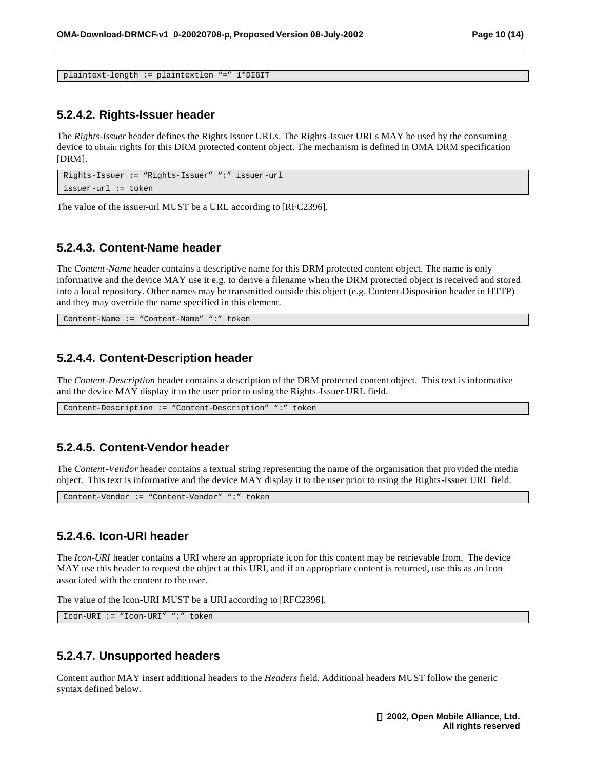```
plaintext-length := plaintextlen "=" 1*DIGIT
```
#### **5.2.4.2. Rights-Issuer header**

The *Rights-Issuer* header defines the Rights Issuer URLs. The Rights-Issuer URLs MAY be used by the consuming device to obtain rights for this DRM protected content object. The mechanism is defined in OMA DRM specification [DRM].

```
Rights-Issuer := "Rights-Issuer" ":" issuer-url
issuer-url := token
```
The value of the issuer-url MUST be a URL according to [RFC2396].

#### **5.2.4.3. Content-Name header**

The *Content-Name* header contains a descriptive name for this DRM protected content object. The name is only informative and the device MAY use it e.g. to derive a filename when the DRM protected object is received and stored into a local repository. Other names may be transmitted outside this object (e.g. Content-Disposition header in HTTP) and they may override the name specified in this element.

Content-Name := "Content-Name" ":" token

#### **5.2.4.4. Content-Description header**

The *Content-Description* header contains a description of the DRM protected content object. This text is informative and the device MAY display it to the user prior to using the Rights-Issuer-URL field.

Content-Description := "Content-Description" ":" token

#### **5.2.4.5. Content-Vendor header**

The *Content-Vendor* header contains a textual string representing the name of the organisation that provided the media object. This text is informative and the device MAY display it to the user prior to using the Rights-Issuer URL field.

Content-Vendor := "Content-Vendor" ":" token

#### **5.2.4.6. Icon-URI header**

The *Icon-URI* header contains a URI where an appropriate icon for this content may be retrievable from. The device MAY use this header to request the object at this URI, and if an appropriate content is returned, use this as an icon associated with the content to the user.

The value of the Icon-URI MUST be a URI according to [RFC2396].

Icon-URI := "Icon-URI" ":" token

#### **5.2.4.7. Unsupported headers**

Content author MAY insert additional headers to the *Headers* field. Additional headers MUST follow the generic syntax defined below.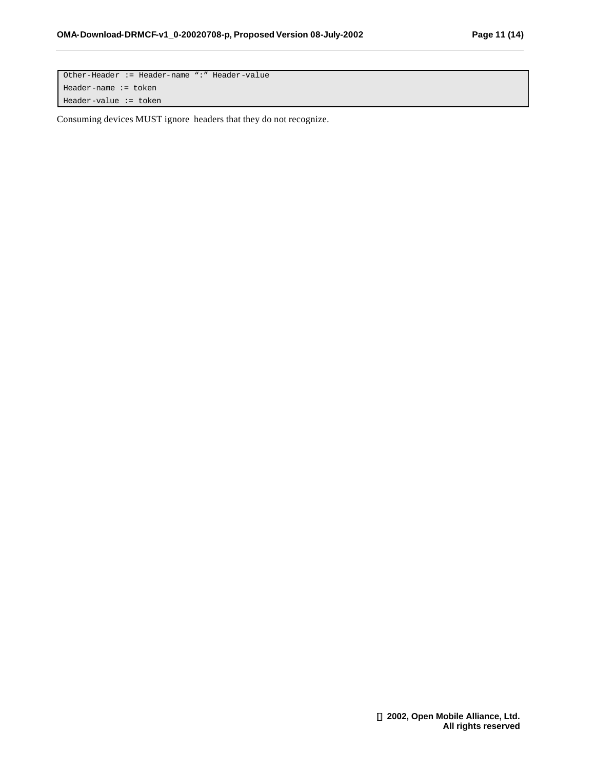Other-Header := Header-name ":" Header-value Header-name := token Header-value := token

Consuming devices MUST ignore headers that they do not recognize.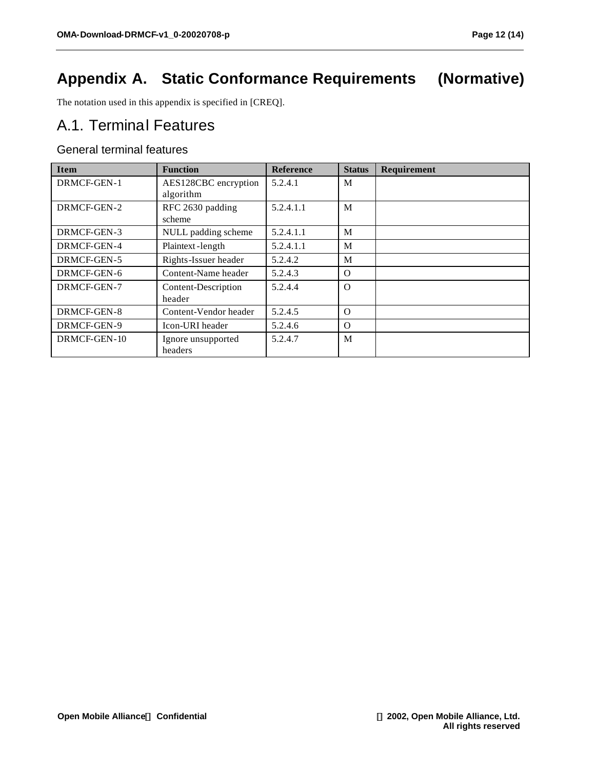# **Appendix A. Static Conformance Requirements (Normative)**

The notation used in this appendix is specified in [CREQ].

### A.1. Terminal Features

#### General terminal features

| <b>Item</b>  | <b>Function</b>       | <b>Reference</b> | <b>Status</b> | Requirement |
|--------------|-----------------------|------------------|---------------|-------------|
| DRMCF-GEN-1  | AES128CBC encryption  | 5.2.4.1          | M             |             |
|              | algorithm             |                  |               |             |
| DRMCF-GEN-2  | RFC 2630 padding      | 5.2.4.1.1        | M             |             |
|              | scheme                |                  |               |             |
| DRMCF-GEN-3  | NULL padding scheme   | 5.2.4.1.1        | M             |             |
| DRMCF-GEN-4  | Plaintext-length      | 5.2.4.1.1        | M             |             |
| DRMCF-GEN-5  | Rights-Issuer header  | 5.2.4.2          | M             |             |
| DRMCF-GEN-6  | Content-Name header   | 5.2.4.3          | $\Omega$      |             |
| DRMCF-GEN-7  | Content-Description   | 5.2.4.4          | $\Omega$      |             |
|              | header                |                  |               |             |
| DRMCF-GEN-8  | Content-Vendor header | 5.2.4.5          | $\Omega$      |             |
| DRMCF-GEN-9  | Icon-URI header       | 5.2.4.6          | $\Omega$      |             |
| DRMCF-GEN-10 | Ignore unsupported    | 5.2.4.7          | M             |             |
|              | headers               |                  |               |             |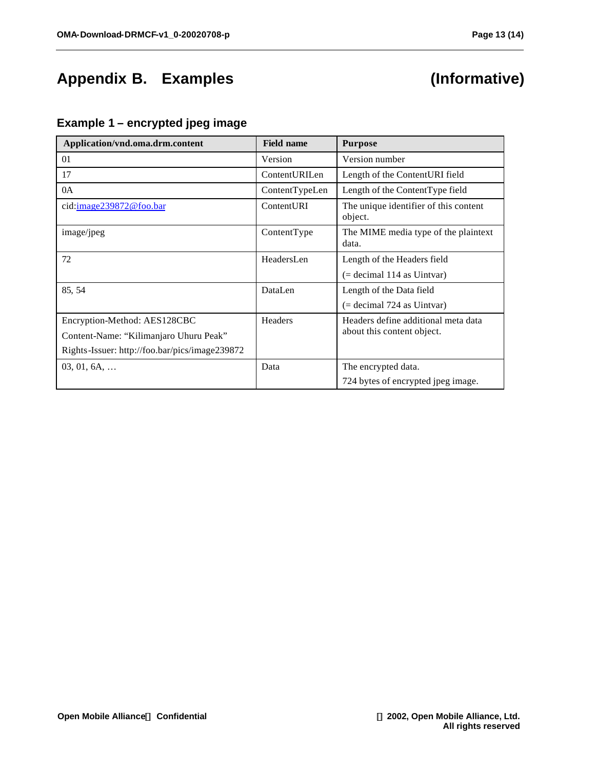# **Appendix B. Examples (Informative)**

#### **Example 1 – encrypted jpeg image**

| Application/vnd.oma.drm.content                | <b>Field name</b> | <b>Purpose</b>                                   |
|------------------------------------------------|-------------------|--------------------------------------------------|
| 01                                             | Version           | Version number                                   |
| 17                                             | ContentURILen     | Length of the ContentURI field                   |
| 0A                                             | ContentTypeLen    | Length of the ContentType field                  |
| cid: image239872@foo.bar                       | ContentURI        | The unique identifier of this content<br>object. |
| image/jpeg                                     | ContentType       | The MIME media type of the plaintext<br>data.    |
| 72                                             | HeadersLen        | Length of the Headers field                      |
|                                                |                   | $($ = decimal 114 as Uintvar $)$                 |
| 85, 54                                         | DataLen           | Length of the Data field                         |
|                                                |                   | $($ = decimal 724 as Uintvar $)$                 |
| Encryption-Method: AES128CBC                   | Headers           | Headers define additional meta data              |
| Content-Name: "Kilimanjaro Uhuru Peak"         |                   | about this content object.                       |
| Rights-Issuer: http://foo.bar/pics/image239872 |                   |                                                  |
| $03, 01, 6A, \ldots$                           | Data              | The encrypted data.                              |
|                                                |                   | 724 bytes of encrypted jpeg image.               |